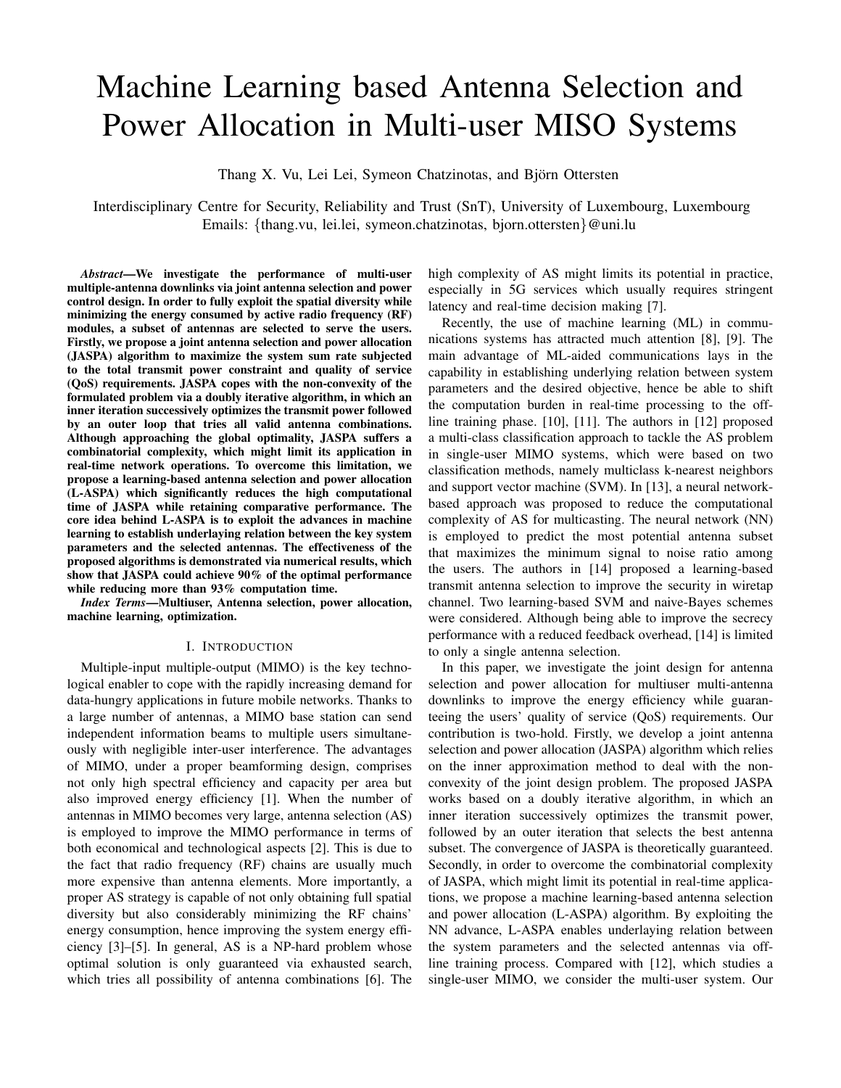# Machine Learning based Antenna Selection and Power Allocation in Multi-user MISO Systems

Thang X. Vu, Lei Lei, Symeon Chatzinotas, and Björn Ottersten

Interdisciplinary Centre for Security, Reliability and Trust (SnT), University of Luxembourg, Luxembourg Emails: {thang.vu, lei.lei, symeon.chatzinotas, bjorn.ottersten}@uni.lu

*Abstract*—We investigate the performance of multi-user multiple-antenna downlinks via joint antenna selection and power control design. In order to fully exploit the spatial diversity while minimizing the energy consumed by active radio frequency (RF) modules, a subset of antennas are selected to serve the users. Firstly, we propose a joint antenna selection and power allocation (JASPA) algorithm to maximize the system sum rate subjected to the total transmit power constraint and quality of service (QoS) requirements. JASPA copes with the non-convexity of the formulated problem via a doubly iterative algorithm, in which an inner iteration successively optimizes the transmit power followed by an outer loop that tries all valid antenna combinations. Although approaching the global optimality, JASPA suffers a combinatorial complexity, which might limit its application in real-time network operations. To overcome this limitation, we propose a learning-based antenna selection and power allocation (L-ASPA) which significantly reduces the high computational time of JASPA while retaining comparative performance. The core idea behind L-ASPA is to exploit the advances in machine learning to establish underlaying relation between the key system parameters and the selected antennas. The effectiveness of the proposed algorithms is demonstrated via numerical results, which show that JASPA could achieve 90% of the optimal performance while reducing more than 93% computation time.

*Index Terms*—Multiuser, Antenna selection, power allocation, machine learning, optimization.

#### I. INTRODUCTION

Multiple-input multiple-output (MIMO) is the key technological enabler to cope with the rapidly increasing demand for data-hungry applications in future mobile networks. Thanks to a large number of antennas, a MIMO base station can send independent information beams to multiple users simultaneously with negligible inter-user interference. The advantages of MIMO, under a proper beamforming design, comprises not only high spectral efficiency and capacity per area but also improved energy efficiency [1]. When the number of antennas in MIMO becomes very large, antenna selection (AS) is employed to improve the MIMO performance in terms of both economical and technological aspects [2]. This is due to the fact that radio frequency (RF) chains are usually much more expensive than antenna elements. More importantly, a proper AS strategy is capable of not only obtaining full spatial diversity but also considerably minimizing the RF chains' energy consumption, hence improving the system energy efficiency [3]–[5]. In general, AS is a NP-hard problem whose optimal solution is only guaranteed via exhausted search, which tries all possibility of antenna combinations [6]. The

high complexity of AS might limits its potential in practice, especially in 5G services which usually requires stringent latency and real-time decision making [7].

Recently, the use of machine learning (ML) in communications systems has attracted much attention [8], [9]. The main advantage of ML-aided communications lays in the capability in establishing underlying relation between system parameters and the desired objective, hence be able to shift the computation burden in real-time processing to the offline training phase. [10], [11]. The authors in [12] proposed a multi-class classification approach to tackle the AS problem in single-user MIMO systems, which were based on two classification methods, namely multiclass k-nearest neighbors and support vector machine (SVM). In [13], a neural networkbased approach was proposed to reduce the computational complexity of AS for multicasting. The neural network (NN) is employed to predict the most potential antenna subset that maximizes the minimum signal to noise ratio among the users. The authors in [14] proposed a learning-based transmit antenna selection to improve the security in wiretap channel. Two learning-based SVM and naive-Bayes schemes were considered. Although being able to improve the secrecy performance with a reduced feedback overhead, [14] is limited to only a single antenna selection.

In this paper, we investigate the joint design for antenna selection and power allocation for multiuser multi-antenna downlinks to improve the energy efficiency while guaranteeing the users' quality of service (QoS) requirements. Our contribution is two-hold. Firstly, we develop a joint antenna selection and power allocation (JASPA) algorithm which relies on the inner approximation method to deal with the nonconvexity of the joint design problem. The proposed JASPA works based on a doubly iterative algorithm, in which an inner iteration successively optimizes the transmit power, followed by an outer iteration that selects the best antenna subset. The convergence of JASPA is theoretically guaranteed. Secondly, in order to overcome the combinatorial complexity of JASPA, which might limit its potential in real-time applications, we propose a machine learning-based antenna selection and power allocation (L-ASPA) algorithm. By exploiting the NN advance, L-ASPA enables underlaying relation between the system parameters and the selected antennas via offline training process. Compared with [12], which studies a single-user MIMO, we consider the multi-user system. Our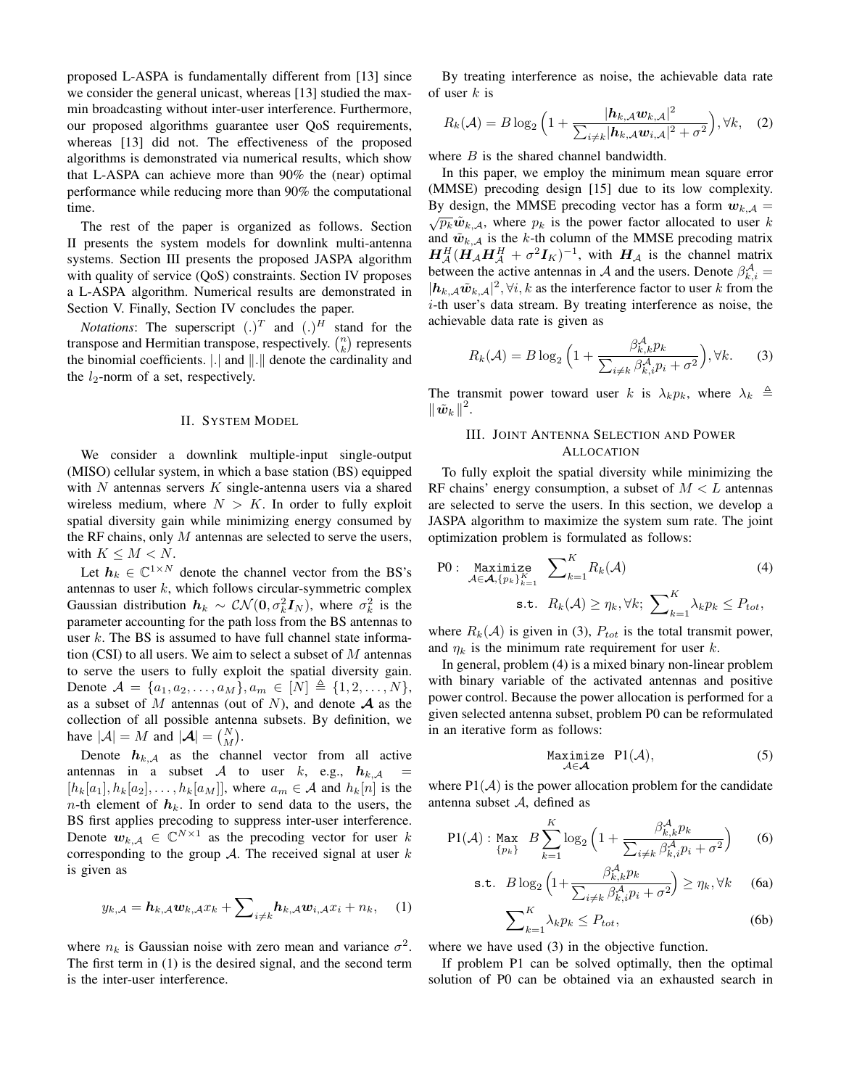proposed L-ASPA is fundamentally different from [13] since we consider the general unicast, whereas [13] studied the maxmin broadcasting without inter-user interference. Furthermore, our proposed algorithms guarantee user QoS requirements, whereas [13] did not. The effectiveness of the proposed algorithms is demonstrated via numerical results, which show that L-ASPA can achieve more than 90% the (near) optimal performance while reducing more than 90% the computational time.

The rest of the paper is organized as follows. Section II presents the system models for downlink multi-antenna systems. Section III presents the proposed JASPA algorithm with quality of service (QoS) constraints. Section IV proposes a L-ASPA algorithm. Numerical results are demonstrated in Section V. Finally, Section IV concludes the paper.

*Notations*: The superscript  $(.)^T$  and  $(.)^H$  stand for the transpose and Hermitian transpose, respectively.  $\binom{n}{k}$  represents the binomial coefficients.  $\vert . \vert$  and  $\vert \vert . \vert \vert$  denote the cardinality and the  $l_2$ -norm of a set, respectively.

## II. SYSTEM MODEL

We consider a downlink multiple-input single-output (MISO) cellular system, in which a base station (BS) equipped with  $N$  antennas servers  $K$  single-antenna users via a shared wireless medium, where  $N > K$ . In order to fully exploit spatial diversity gain while minimizing energy consumed by the RF chains, only  $M$  antennas are selected to serve the users, with  $K \leq M < N$ .

Let  $h_k \in \mathbb{C}^{1 \times N}$  denote the channel vector from the BS's antennas to user  $k$ , which follows circular-symmetric complex Gaussian distribution  $h_k \sim \mathcal{CN}(\mathbf{0}, \sigma_k^2 \mathbf{I}_N)$ , where  $\sigma_k^2$  is the parameter accounting for the path loss from the BS antennas to user  $k$ . The BS is assumed to have full channel state information (CSI) to all users. We aim to select a subset of  $M$  antennas to serve the users to fully exploit the spatial diversity gain. Denote  $A = \{a_1, a_2, \ldots, a_M\}, a_m \in [N] \triangleq \{1, 2, \ldots, N\},\$ as a subset of M antennas (out of N), and denote  $A$  as the collection of all possible antenna subsets. By definition, we have  $|\mathcal{A}| = M$  and  $|\mathcal{A}| = {N \choose M}$ .

Denote  $h_{k,\mathcal{A}}$  as the channel vector from all active antennas in a subset A to user k, e.g.,  $h_{k,A}$  =  $[h_k[a_1], h_k[a_2], \ldots, h_k[a_M]]$ , where  $a_m \in \mathcal{A}$  and  $h_k[n]$  is the  $n$ -th element of  $h_k$ . In order to send data to the users, the BS first applies precoding to suppress inter-user interference. Denote  $w_{k,A} \in \mathbb{C}^{N \times 1}$  as the precoding vector for user k corresponding to the group  $A$ . The received signal at user  $k$ is given as

$$
y_{k,A} = \boldsymbol{h}_{k,A} \boldsymbol{w}_{k,A} x_k + \sum\nolimits_{i \neq k} \boldsymbol{h}_{k,A} \boldsymbol{w}_{i,A} x_i + n_k, \quad (1)
$$

where  $n_k$  is Gaussian noise with zero mean and variance  $\sigma^2$ . The first term in (1) is the desired signal, and the second term is the inter-user interference.

By treating interference as noise, the achievable data rate of user  $k$  is

$$
R_k(\mathcal{A}) = B \log_2 \left( 1 + \frac{|\mathbf{h}_{k,\mathcal{A}} \mathbf{w}_{k,\mathcal{A}}|^2}{\sum_{i \neq k} |\mathbf{h}_{k,\mathcal{A}} \mathbf{w}_{i,\mathcal{A}}|^2 + \sigma^2} \right), \forall k, \quad (2)
$$

where  $B$  is the shared channel bandwidth.

In this paper, we employ the minimum mean square error (MMSE) precoding design [15] due to its low complexity. By design, the MMSE precoding vector has a form  $w_{k,A} = \sqrt{p_k} \tilde{w}_{k,A}$ , where  $p_k$  is the power factor allocated to user k and  $\tilde{\boldsymbol{w}}_{k,\mathcal{A}}$  is the k-th column of the MMSE precoding matrix  $H_A^H(H_A H_A^H + \sigma^2 I_K)^{-1}$ , with  $H_A$  is the channel matrix between the active antennas in A and the users. Denote  $\beta_{k,i}^{\mathcal{A}} =$  $|h_{k,A}\tilde{w}_{k,A}|^2$ ,  $\forall i, k$  as the interference factor to user k from the  $i$ -th user's data stream. By treating interference as noise, the achievable data rate is given as

$$
R_k(\mathcal{A}) = B \log_2 \left( 1 + \frac{\beta_{k,k}^{\mathcal{A}} p_k}{\sum_{i \neq k} \beta_{k,i}^{\mathcal{A}} p_i + \sigma^2} \right), \forall k. \tag{3}
$$

The transmit power toward user k is  $\lambda_k p_k$ , where  $\lambda_k \triangleq$  $\left\Vert \tilde{\boldsymbol{w}}_{k}\right\Vert ^{2}.$ 

## III. JOINT ANTENNA SELECTION AND POWER ALLOCATION

To fully exploit the spatial diversity while minimizing the RF chains' energy consumption, a subset of  $M < L$  antennas are selected to serve the users. In this section, we develop a JASPA algorithm to maximize the system sum rate. The joint optimization problem is formulated as follows:

P0: Maximize  

$$
\sum_{A \in \mathcal{A}, \{p_k\}_{k=1}^K}^K \sum_{k=1}^K R_k(\mathcal{A})
$$
  
s.t.  $R_k(\mathcal{A}) \ge \eta_k, \forall k; \sum_{k=1}^K \lambda_k p_k \le P_{tot},$ 

where  $R_k(\mathcal{A})$  is given in (3),  $P_{tot}$  is the total transmit power, and  $\eta_k$  is the minimum rate requirement for user k.

In general, problem (4) is a mixed binary non-linear problem with binary variable of the activated antennas and positive power control. Because the power allocation is performed for a given selected antenna subset, problem P0 can be reformulated in an iterative form as follows:

$$
\underset{\mathcal{A}\in\mathcal{A}}{\text{Maximize}}\quad\text{PI}(\mathcal{A}),\tag{5}
$$

where  $P1(\mathcal{A})$  is the power allocation problem for the candidate antenna subset A, defined as

$$
\text{PI}(\mathcal{A}): \underset{\{p_k\}}{\text{Max}} \quad B \sum_{k=1}^K \log_2 \left( 1 + \frac{\beta_{k,k}^{\mathcal{A}} p_k}{\sum_{i \neq k} \beta_{k,i}^{\mathcal{A}} p_i + \sigma^2} \right) \tag{6}
$$

$$
\text{s.t.} \quad B \log_2 \left( 1 + \frac{\beta_{k,k}^{\mathcal{A}} p_k}{\sum_{i \neq k} \beta_{k,i}^{\mathcal{A}} p_i + \sigma^2} \right) \ge \eta_k, \forall k \tag{6a}
$$

$$
\sum_{k=1}^{K} \lambda_k p_k \le P_{tot},\tag{6b}
$$

where we have used (3) in the objective function.

If problem P1 can be solved optimally, then the optimal solution of P0 can be obtained via an exhausted search in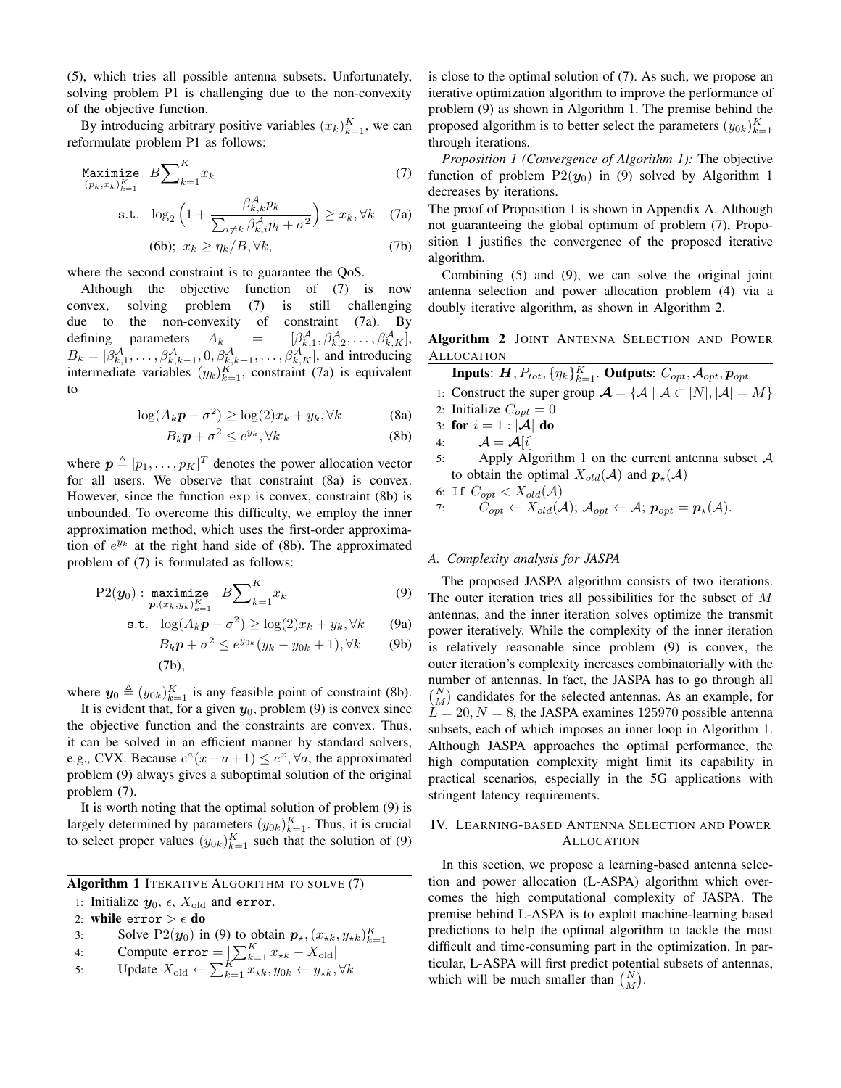(5), which tries all possible antenna subsets. Unfortunately, solving problem P1 is challenging due to the non-convexity of the objective function.

By introducing arbitrary positive variables  $(x_k)_{k=1}^K$ , we can reformulate problem P1 as follows:

$$
\underset{(p_k, x_k)_{k=1}^K}{\text{Maximize}} \quad B \sum\nolimits_{k=1}^K x_k \tag{7}
$$

$$
\text{s.t. } \log_2\left(1+\frac{\beta_{k,k}^{\mathcal{A}}p_k}{\sum_{i\neq k}\beta_{k,i}^{\mathcal{A}}p_i+\sigma^2}\right) \ge x_k, \forall k \quad (7a)
$$

$$
(6b); \ x_k \ge \eta_k / B, \forall k,
$$
\n(7b)

where the second constraint is to guarantee the QoS.

Although the objective function of (7) is now convex, solving problem (7) is still challenging due to the non-convexity of constraint (7a). By defining parameters  $A_k$  =  $\beta^{\mathcal{A}}_{k,1}, \beta^{\mathcal{A}}_{k,2}, \ldots, \beta^{\mathcal{A}}_{k,K}$ ,  $B_k = [\beta_{k,1}^A, \dots, \beta_{k,k-1}^A, 0, \beta_{k,k+1}^A, \dots, \beta_{k,K}^A]$ , and introducing intermediate variables  $(y_k)_{k=1}^K$ , constraint (7a) is equivalent to

$$
\log(A_k \mathbf{p} + \sigma^2) \ge \log(2)x_k + y_k, \forall k \tag{8a}
$$

$$
B_k \mathbf{p} + \sigma^2 \le e^{y_k}, \forall k \tag{8b}
$$

where  $\boldsymbol{p} \triangleq [p_1, \dots, p_K]^T$  denotes the power allocation vector for all users. We observe that constraint (8a) is convex. However, since the function exp is convex, constraint (8b) is unbounded. To overcome this difficulty, we employ the inner approximation method, which uses the first-order approximation of  $e^{y_k}$  at the right hand side of (8b). The approximated problem of (7) is formulated as follows:

$$
\text{P2}(\bm{y}_0): \underset{\bm{p}, (x_k, y_k)_{k=1}^K}{\text{maximize}} \quad B \sum\nolimits_{k=1}^K x_k \tag{9}
$$

$$
\text{s.t. } \log(A_k \mathbf{p} + \sigma^2) \ge \log(2)x_k + y_k, \forall k \qquad \text{(9a)}
$$

$$
B_k \mathbf{p} + \sigma^2 \le e^{y_{0k}} (y_k - y_{0k} + 1), \forall k \tag{9b}
$$

where 
$$
y_0 \triangleq (y_{0k})_{k=1}^K
$$
 is any feasible point of constraint (8b).

It is evident that, for a given  $y_0$ , problem (9) is convex since the objective function and the constraints are convex. Thus, it can be solved in an efficient manner by standard solvers, e.g., CVX. Because  $e^a(x-a+1) \leq e^x$ ,  $\forall a$ , the approximated problem (9) always gives a suboptimal solution of the original problem (7).

 $(7h)$ 

It is worth noting that the optimal solution of problem (9) is largely determined by parameters  $(y_{0k})_{k=1}^K$ . Thus, it is crucial to select proper values  $(y_{0k})_{k=1}^K$  such that the solution of (9)

| <b>Algorithm 1 ITERATIVE ALGORITHM TO SOLVE (7)</b>     |                                                                                                  |  |  |  |  |
|---------------------------------------------------------|--------------------------------------------------------------------------------------------------|--|--|--|--|
| 1: Initialize $y_0$ , $\epsilon$ , $X_{old}$ and error. |                                                                                                  |  |  |  |  |
| 2: while error $\geq \epsilon$ do                       |                                                                                                  |  |  |  |  |
| 3:                                                      | Solve P2( $y_0$ ) in (9) to obtain $p_{\star}$ , $(x_{\star k}, y_{\star k})_{k=1}^{K}$          |  |  |  |  |
| 4:                                                      | Compute $error = \left  \sum_{k=1}^{K} x_{\star k} - X_{old} \right $                            |  |  |  |  |
| 5:                                                      | Update $X_{old} \leftarrow \sum_{k=1}^{K} x_{\star k}, y_{0k} \leftarrow y_{\star k}, \forall k$ |  |  |  |  |

is close to the optimal solution of (7). As such, we propose an iterative optimization algorithm to improve the performance of problem (9) as shown in Algorithm 1. The premise behind the proposed algorithm is to better select the parameters  $(y_{0k})_{k=1}^K$ through iterations.

*Proposition 1 (Convergence of Algorithm 1):* The objective function of problem  $P2(y_0)$  in (9) solved by Algorithm 1 decreases by iterations.

The proof of Proposition 1 is shown in Appendix A. Although not guaranteeing the global optimum of problem (7), Proposition 1 justifies the convergence of the proposed iterative algorithm.

Combining (5) and (9), we can solve the original joint antenna selection and power allocation problem (4) via a doubly iterative algorithm, as shown in Algorithm 2.

# Algorithm 2 JOINT ANTENNA SELECTION AND POWER ALLOCATION

| <b>Inputs:</b> $H, P_{tot}, \{\eta_k\}_{k=1}^K$ . Outputs: $C_{opt}, \mathcal{A}_{opt}, p_{opt}$                                        |
|-----------------------------------------------------------------------------------------------------------------------------------------|
| 1: Construct the super group $\mathcal{A} = \{ \mathcal{A} \mid \mathcal{A} \subset [N],  \mathcal{A}  = M \}$                          |
| 2: Initialize $C_{opt} = 0$                                                                                                             |
| 3: for $i = 1 :  \mathcal{A} $ do                                                                                                       |
| 4: $\mathcal{A} = \mathcal{A}[i]$                                                                                                       |
| Apply Algorithm 1 on the current antenna subset $A$<br>5:                                                                               |
| to obtain the optimal $X_{old}(A)$ and $p_{\star}(A)$                                                                                   |
| 6: If $C_{opt} < X_{old}(A)$                                                                                                            |
| 7: $C_{opt} \leftarrow X_{old}(\mathcal{A}); \mathcal{A}_{opt} \leftarrow \mathcal{A}; \mathbf{p}_{opt} = \mathbf{p}_{*}(\mathcal{A}).$ |

## *A. Complexity analysis for JASPA*

The proposed JASPA algorithm consists of two iterations. The outer iteration tries all possibilities for the subset of M antennas, and the inner iteration solves optimize the transmit power iteratively. While the complexity of the inner iteration is relatively reasonable since problem (9) is convex, the outer iteration's complexity increases combinatorially with the number of antennas. In fact, the JASPA has to go through all  $\binom{N}{M}$  candidates for the selected antennas. As an example, for  $\overline{L} = 20, N = 8$ , the JASPA examines 125970 possible antenna subsets, each of which imposes an inner loop in Algorithm 1. Although JASPA approaches the optimal performance, the high computation complexity might limit its capability in practical scenarios, especially in the 5G applications with stringent latency requirements.

## IV. LEARNING-BASED ANTENNA SELECTION AND POWER ALLOCATION

In this section, we propose a learning-based antenna selection and power allocation (L-ASPA) algorithm which overcomes the high computational complexity of JASPA. The premise behind L-ASPA is to exploit machine-learning based predictions to help the optimal algorithm to tackle the most difficult and time-consuming part in the optimization. In particular, L-ASPA will first predict potential subsets of antennas, which will be much smaller than  $\binom{N}{M}$ .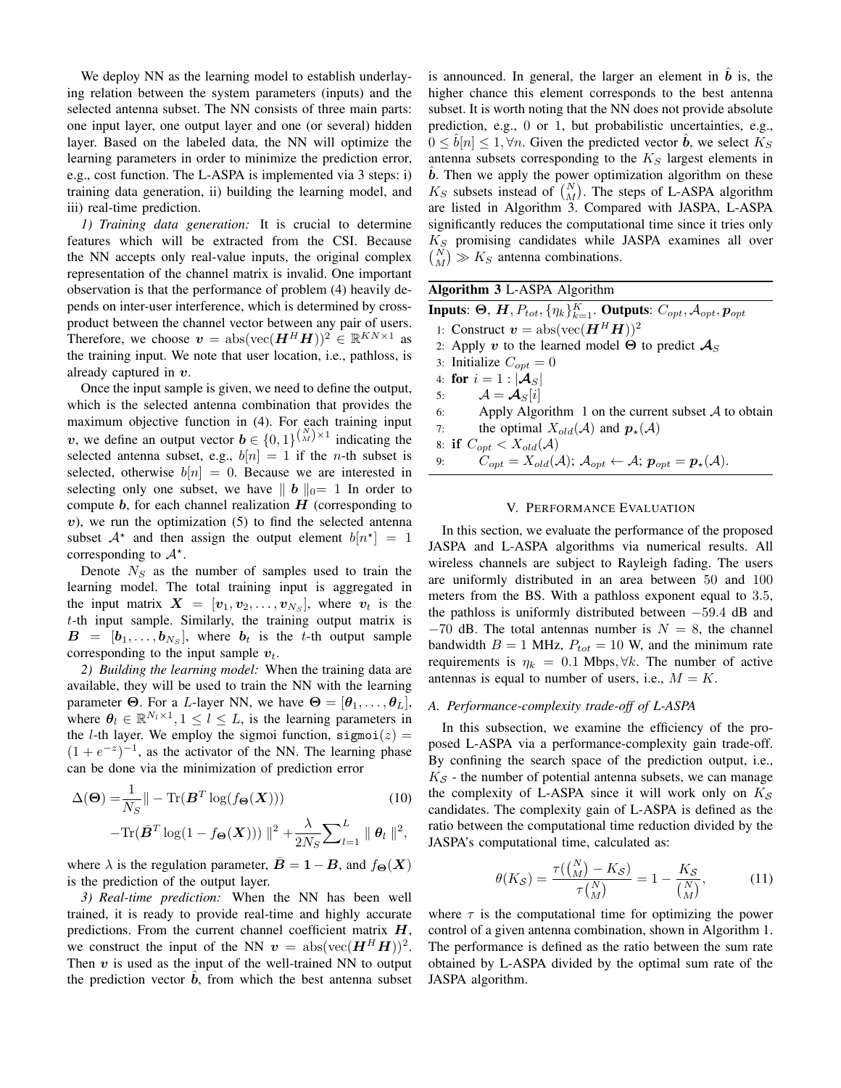We deploy NN as the learning model to establish underlaying relation between the system parameters (inputs) and the selected antenna subset. The NN consists of three main parts: one input layer, one output layer and one (or several) hidden layer. Based on the labeled data, the NN will optimize the learning parameters in order to minimize the prediction error, e.g., cost function. The L-ASPA is implemented via 3 steps: i) training data generation, ii) building the learning model, and iii) real-time prediction.

*1) Training data generation:* It is crucial to determine features which will be extracted from the CSI. Because the NN accepts only real-value inputs, the original complex representation of the channel matrix is invalid. One important observation is that the performance of problem (4) heavily depends on inter-user interference, which is determined by crossproduct between the channel vector between any pair of users. Therefore, we choose  $\mathbf{v} = abs(vec(\mathbf{H}^H \mathbf{H}))^2 \in \mathbb{R}^{KN \times 1}$  as the training input. We note that user location, i.e., pathloss, is already captured in  $v$ .

Once the input sample is given, we need to define the output, which is the selected antenna combination that provides the maximum objective function in (4). For each training input v, we define an output vector  $\mathbf{b} \in \{0,1\}^{\binom{N}{M}\times 1}$  indicating the selected antenna subset, e.g.,  $b[n] = 1$  if the *n*-th subset is selected, otherwise  $b[n] = 0$ . Because we are interested in selecting only one subset, we have  $||b||_0= 1$  In order to compute  $b$ , for each channel realization  $H$  (corresponding to  $v$ ), we run the optimization  $(5)$  to find the selected antenna subset  $A^*$  and then assign the output element  $b[n^*] = 1$ corresponding to  $A^*$ .

Denote  $N<sub>S</sub>$  as the number of samples used to train the learning model. The total training input is aggregated in the input matrix  $\boldsymbol{X} = [\boldsymbol{v}_1, \boldsymbol{v}_2, \dots, \boldsymbol{v}_{N_S}],$  where  $\boldsymbol{v}_t$  is the  $t$ -th input sample. Similarly, the training output matrix is  $B = [b_1, \ldots, b_{N_S}],$  where  $b_t$  is the t-th output sample corresponding to the input sample  $v_t$ .

*2) Building the learning model:* When the training data are available, they will be used to train the NN with the learning parameter  $\Theta$ . For a L-layer NN, we have  $\Theta = [\theta_1, \dots, \theta_L],$ where  $\theta_l \in \mathbb{R}^{N_l \times 1}, 1 \leq l \leq L$ , is the learning parameters in the *l*-th layer. We employ the sigmoi function,  $signoi(z)$  =  $(1 + e^{-z})^{-1}$ , as the activator of the NN. The learning phase can be done via the minimization of prediction error

$$
\Delta(\Theta) = \frac{1}{N_S} \|\n- \text{Tr}(\mathbf{B}^T \log(f_{\Theta}(\mathbf{X}))) \tag{10}
$$

$$
-\text{Tr}(\bar{\mathbf{B}}^T \log(1 - f_{\Theta}(\mathbf{X}))) \|^2 + \frac{\lambda}{2N_S} \sum_{l=1}^L \| \theta_l \|^2,
$$

where  $\lambda$  is the regulation parameter,  $\mathbf{B} = \mathbf{1} - \mathbf{B}$ , and  $f_{\Theta}(X)$ is the prediction of the output layer.

*3) Real-time prediction:* When the NN has been well trained, it is ready to provide real-time and highly accurate predictions. From the current channel coefficient matrix  $H$ , we construct the input of the NN  $v = abs(vec(H^H H))^2$ . Then  $v$  is used as the input of the well-trained NN to output the prediction vector  $\hat{b}$ , from which the best antenna subset

is announced. In general, the larger an element in  $\hat{b}$  is, the higher chance this element corresponds to the best antenna subset. It is worth noting that the NN does not provide absolute prediction, e.g., 0 or 1, but probabilistic uncertainties, e.g.,  $0 \leq \hat{b}[n] \leq 1, \forall n$ . Given the predicted vector  $\hat{b}$ , we select  $K_S$ antenna subsets corresponding to the  $K<sub>S</sub>$  largest elements in  $\overline{b}$ . Then we apply the power optimization algorithm on these  $K_S$  subsets instead of  $\binom{N}{M}$ . The steps of L-ASPA algorithm are listed in Algorithm 3. Compared with JASPA, L-ASPA significantly reduces the computational time since it tries only  $K_S$  promising candidates while JASPA examines all over  $\binom{N}{M} \gg K_S$  antenna combinations.

| Algorithm 3 L-ASPA Algorithm |  |  |  |
|------------------------------|--|--|--|
|------------------------------|--|--|--|

Inputs: Θ,  $\bm{H}, P_{tot}, \{\eta_k\}_{k=1}^K$ . Outputs:  $C_{opt}, \mathcal{A}_{opt}, \bm{p}_{opt}$ 1: Construct  $v = abs(vec(H^H H))^2$ 2: Apply v to the learned model  $\Theta$  to predict  $\mathcal{A}_S$ 3: Initialize  $C_{opt} = 0$ 4: for  $i = 1 : |\mathcal{A}_S|$ 5:  $\mathcal{A} = \mathcal{A}_S[i]$ 6: Apply Algorithm 1 on the current subset  $\mathcal A$  to obtain 7: the optimal  $X_{old}(\mathcal{A})$  and  $p_{\star}(\mathcal{A})$ 8: if  $C_{opt} < X_{old}(A)$ 9:  $C_{opt} = X_{old}(A);$   $A_{opt} \leftarrow A;$   $p_{opt} = p_{\star}(A).$ 

### V. PERFORMANCE EVALUATION

In this section, we evaluate the performance of the proposed JASPA and L-ASPA algorithms via numerical results. All wireless channels are subject to Rayleigh fading. The users are uniformly distributed in an area between 50 and 100 meters from the BS. With a pathloss exponent equal to 3.5, the pathloss is uniformly distributed between −59.4 dB and  $-70$  dB. The total antennas number is  $N = 8$ , the channel bandwidth  $B = 1$  MHz,  $P_{tot} = 10$  W, and the minimum rate requirements is  $\eta_k = 0.1$  Mbps,  $\forall k$ . The number of active antennas is equal to number of users, i.e.,  $M = K$ .

## *A. Performance-complexity trade-off of L-ASPA*

In this subsection, we examine the efficiency of the proposed L-ASPA via a performance-complexity gain trade-off. By confining the search space of the prediction output, i.e.,  $K_S$  - the number of potential antenna subsets, we can manage the complexity of L-ASPA since it will work only on  $K_S$ candidates. The complexity gain of L-ASPA is defined as the ratio between the computational time reduction divided by the JASPA's computational time, calculated as:

$$
\theta(K_{\mathcal{S}}) = \frac{\tau(\binom{N}{M} - K_{\mathcal{S}})}{\tau\binom{N}{M}} = 1 - \frac{K_{\mathcal{S}}}{\binom{N}{M}},\tag{11}
$$

where  $\tau$  is the computational time for optimizing the power control of a given antenna combination, shown in Algorithm 1. The performance is defined as the ratio between the sum rate obtained by L-ASPA divided by the optimal sum rate of the JASPA algorithm.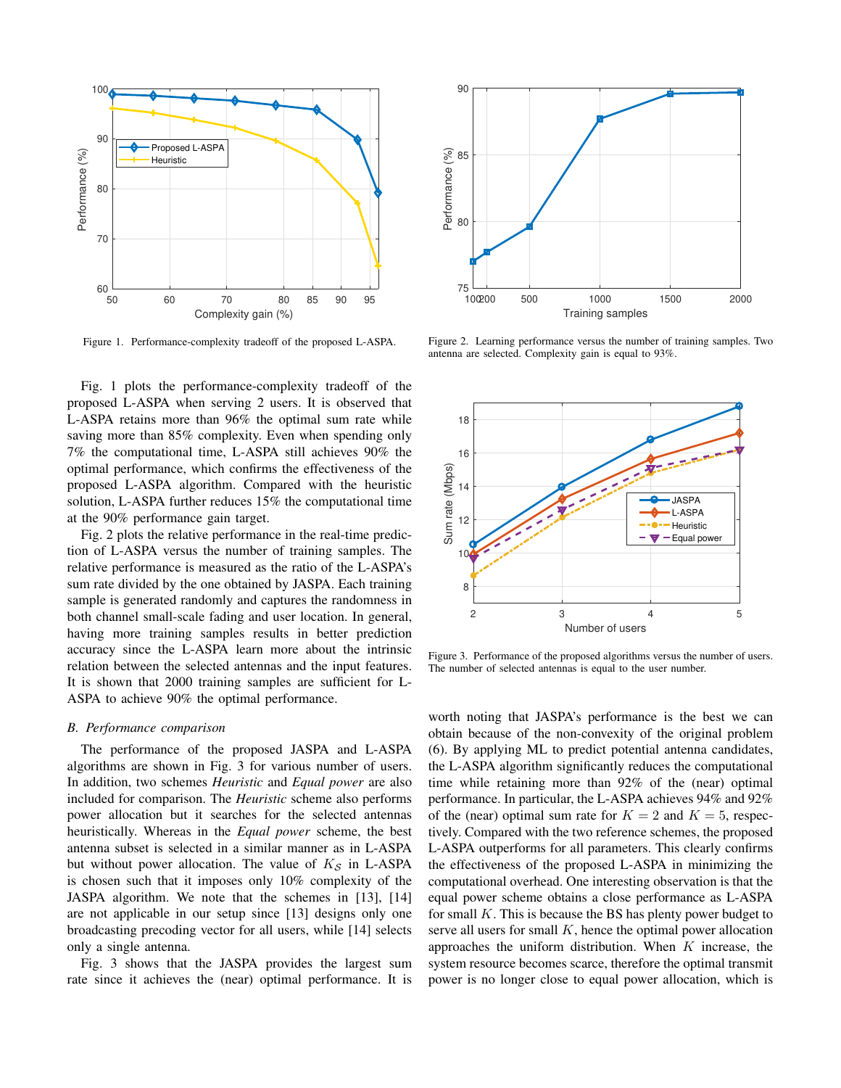

Figure 1. Performance-complexity tradeoff of the proposed L-ASPA.

Fig. 1 plots the performance-complexity tradeoff of the proposed L-ASPA when serving 2 users. It is observed that L-ASPA retains more than 96% the optimal sum rate while saving more than 85% complexity. Even when spending only 7% the computational time, L-ASPA still achieves 90% the optimal performance, which confirms the effectiveness of the proposed L-ASPA algorithm. Compared with the heuristic solution, L-ASPA further reduces 15% the computational time at the 90% performance gain target.

Fig. 2 plots the relative performance in the real-time prediction of L-ASPA versus the number of training samples. The relative performance is measured as the ratio of the L-ASPA's sum rate divided by the one obtained by JASPA. Each training sample is generated randomly and captures the randomness in both channel small-scale fading and user location. In general, having more training samples results in better prediction accuracy since the L-ASPA learn more about the intrinsic relation between the selected antennas and the input features. It is shown that 2000 training samples are sufficient for L-ASPA to achieve 90% the optimal performance.

#### *B. Performance comparison*

The performance of the proposed JASPA and L-ASPA algorithms are shown in Fig. 3 for various number of users. In addition, two schemes *Heuristic* and *Equal power* are also included for comparison. The *Heuristic* scheme also performs power allocation but it searches for the selected antennas heuristically. Whereas in the *Equal power* scheme, the best antenna subset is selected in a similar manner as in L-ASPA but without power allocation. The value of  $K<sub>S</sub>$  in L-ASPA is chosen such that it imposes only 10% complexity of the JASPA algorithm. We note that the schemes in [13], [14] are not applicable in our setup since [13] designs only one broadcasting precoding vector for all users, while [14] selects only a single antenna.

Fig. 3 shows that the JASPA provides the largest sum rate since it achieves the (near) optimal performance. It is



Figure 2. Learning performance versus the number of training samples. Two antenna are selected. Complexity gain is equal to 93%.



Figure 3. Performance of the proposed algorithms versus the number of users. The number of selected antennas is equal to the user number.

worth noting that JASPA's performance is the best we can obtain because of the non-convexity of the original problem (6). By applying ML to predict potential antenna candidates, the L-ASPA algorithm significantly reduces the computational time while retaining more than 92% of the (near) optimal performance. In particular, the L-ASPA achieves 94% and 92% of the (near) optimal sum rate for  $K = 2$  and  $K = 5$ , respectively. Compared with the two reference schemes, the proposed L-ASPA outperforms for all parameters. This clearly confirms the effectiveness of the proposed L-ASPA in minimizing the computational overhead. One interesting observation is that the equal power scheme obtains a close performance as L-ASPA for small  $K$ . This is because the BS has plenty power budget to serve all users for small  $K$ , hence the optimal power allocation approaches the uniform distribution. When  $K$  increase, the system resource becomes scarce, therefore the optimal transmit power is no longer close to equal power allocation, which is